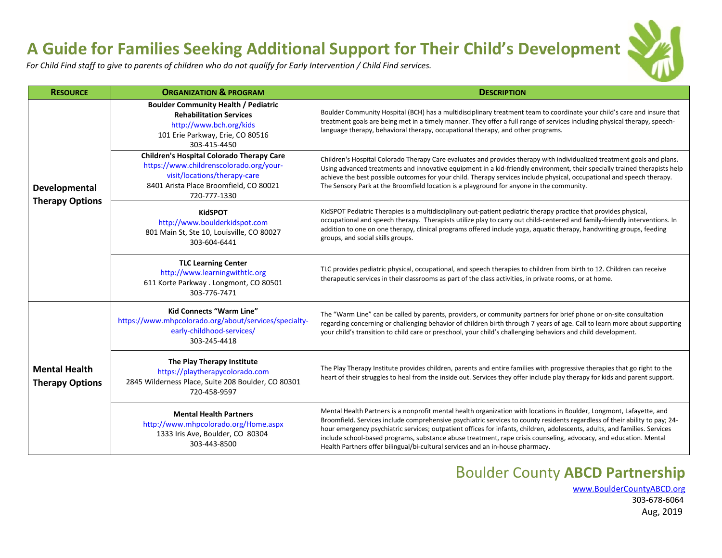## **A Guide for Families Seeking Additional Support for Their Child's Development**

*For Child Find staff to give to parents of children who do not qualify for Early Intervention / Child Find services.*

| <b>RESOURCE</b>                                | <b>ORGANIZATION &amp; PROGRAM</b>                                                                                                                                                     | <b>DESCRIPTION</b>                                                                                                                                                                                                                                                                                                                                                                                                                                                                                                                                                                       |  |  |  |  |  |
|------------------------------------------------|---------------------------------------------------------------------------------------------------------------------------------------------------------------------------------------|------------------------------------------------------------------------------------------------------------------------------------------------------------------------------------------------------------------------------------------------------------------------------------------------------------------------------------------------------------------------------------------------------------------------------------------------------------------------------------------------------------------------------------------------------------------------------------------|--|--|--|--|--|
|                                                | <b>Boulder Community Health / Pediatric</b><br><b>Rehabilitation Services</b><br>http://www.bch.org/kids<br>101 Erie Parkway, Erie, CO 80516<br>303-415-4450                          | Boulder Community Hospital (BCH) has a multidisciplinary treatment team to coordinate your child's care and insure that<br>treatment goals are being met in a timely manner. They offer a full range of services including physical therapy, speech-<br>language therapy, behavioral therapy, occupational therapy, and other programs.                                                                                                                                                                                                                                                  |  |  |  |  |  |
| Developmental<br><b>Therapy Options</b>        | <b>Children's Hospital Colorado Therapy Care</b><br>https://www.childrenscolorado.org/your-<br>visit/locations/therapy-care<br>8401 Arista Place Broomfield, CO 80021<br>720-777-1330 | Children's Hospital Colorado Therapy Care evaluates and provides therapy with individualized treatment goals and plans.<br>Using advanced treatments and innovative equipment in a kid-friendly environment, their specially trained therapists help<br>achieve the best possible outcomes for your child. Therapy services include physical, occupational and speech therapy.<br>The Sensory Park at the Broomfield location is a playground for anyone in the community.                                                                                                               |  |  |  |  |  |
|                                                | <b>KidSPOT</b><br>http://www.boulderkidspot.com<br>801 Main St, Ste 10, Louisville, CO 80027<br>303-604-6441                                                                          | KidSPOT Pediatric Therapies is a multidisciplinary out-patient pediatric therapy practice that provides physical,<br>occupational and speech therapy. Therapists utilize play to carry out child-centered and family-friendly interventions. In<br>addition to one on one therapy, clinical programs offered include yoga, aquatic therapy, handwriting groups, feeding<br>groups, and social skills groups.                                                                                                                                                                             |  |  |  |  |  |
|                                                | <b>TLC Learning Center</b><br>http://www.learningwithtlc.org<br>611 Korte Parkway . Longmont, CO 80501<br>303-776-7471                                                                | TLC provides pediatric physical, occupational, and speech therapies to children from birth to 12. Children can receive<br>therapeutic services in their classrooms as part of the class activities, in private rooms, or at home.                                                                                                                                                                                                                                                                                                                                                        |  |  |  |  |  |
|                                                | <b>Kid Connects "Warm Line"</b><br>https://www.mhpcolorado.org/about/services/specialty-<br>early-childhood-services/<br>303-245-4418                                                 | The "Warm Line" can be called by parents, providers, or community partners for brief phone or on-site consultation<br>regarding concerning or challenging behavior of children birth through 7 years of age. Call to learn more about supporting<br>your child's transition to child care or preschool, your child's challenging behaviors and child development.                                                                                                                                                                                                                        |  |  |  |  |  |
| <b>Mental Health</b><br><b>Therapy Options</b> | The Play Therapy Institute<br>https://playtherapycolorado.com<br>2845 Wilderness Place, Suite 208 Boulder, CO 80301<br>720-458-9597                                                   | The Play Therapy Institute provides children, parents and entire families with progressive therapies that go right to the<br>heart of their struggles to heal from the inside out. Services they offer include play therapy for kids and parent support.                                                                                                                                                                                                                                                                                                                                 |  |  |  |  |  |
|                                                | <b>Mental Health Partners</b><br>http://www.mhpcolorado.org/Home.aspx<br>1333 Iris Ave, Boulder, CO 80304<br>303-443-8500                                                             | Mental Health Partners is a nonprofit mental health organization with locations in Boulder, Longmont, Lafayette, and<br>Broomfield. Services include comprehensive psychiatric services to county residents regardless of their ability to pay; 24-<br>hour emergency psychiatric services; outpatient offices for infants, children, adolescents, adults, and families. Services<br>include school-based programs, substance abuse treatment, rape crisis counseling, advocacy, and education. Mental<br>Health Partners offer bilingual/bi-cultural services and an in-house pharmacy. |  |  |  |  |  |

## Boulder County **ABCD Partnership**

 [www.BoulderCountyABCD.org](http://www.bouldercountyabcd.org/) 303-678-6064 Aug, 2019

 $\mathcal{V}_4$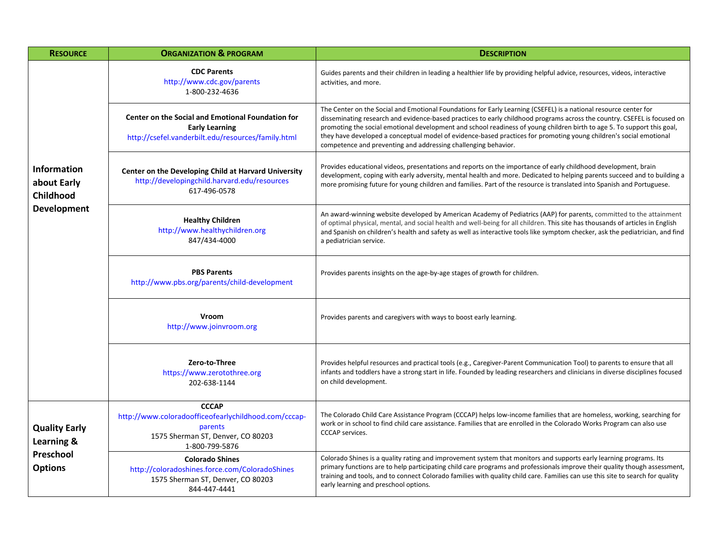| <b>RESOURCE</b>                                                   | <b>ORGANIZATION &amp; PROGRAM</b>                                                                                                       | <b>DESCRIPTION</b>                                                                                                                                                                                                                                                                                                                                                                                                                                                                                                                                              |  |  |  |  |  |  |
|-------------------------------------------------------------------|-----------------------------------------------------------------------------------------------------------------------------------------|-----------------------------------------------------------------------------------------------------------------------------------------------------------------------------------------------------------------------------------------------------------------------------------------------------------------------------------------------------------------------------------------------------------------------------------------------------------------------------------------------------------------------------------------------------------------|--|--|--|--|--|--|
|                                                                   | <b>CDC Parents</b><br>http://www.cdc.gov/parents<br>1-800-232-4636                                                                      | Guides parents and their children in leading a healthier life by providing helpful advice, resources, videos, interactive<br>activities, and more.                                                                                                                                                                                                                                                                                                                                                                                                              |  |  |  |  |  |  |
| Information<br>about Early<br>Childhood<br><b>Development</b>     | <b>Center on the Social and Emotional Foundation for</b><br><b>Early Learning</b><br>http://csefel.vanderbilt.edu/resources/family.html | The Center on the Social and Emotional Foundations for Early Learning (CSEFEL) is a national resource center for<br>disseminating research and evidence-based practices to early childhood programs across the country. CSEFEL is focused on<br>promoting the social emotional development and school readiness of young children birth to age 5. To support this goal,<br>they have developed a conceptual model of evidence-based practices for promoting young children's social emotional<br>competence and preventing and addressing challenging behavior. |  |  |  |  |  |  |
|                                                                   | Center on the Developing Child at Harvard University<br>http://developingchild.harvard.edu/resources<br>617-496-0578                    | Provides educational videos, presentations and reports on the importance of early childhood development, brain<br>development, coping with early adversity, mental health and more. Dedicated to helping parents succeed and to building a<br>more promising future for young children and families. Part of the resource is translated into Spanish and Portuguese.                                                                                                                                                                                            |  |  |  |  |  |  |
|                                                                   | <b>Healthy Children</b><br>http://www.healthychildren.org<br>847/434-4000                                                               | An award-winning website developed by American Academy of Pediatrics (AAP) for parents, committed to the attainment<br>of optimal physical, mental, and social health and well-being for all children. This site has thousands of articles in English<br>and Spanish on children's health and safety as well as interactive tools like symptom checker, ask the pediatrician, and find<br>a pediatrician service.                                                                                                                                               |  |  |  |  |  |  |
|                                                                   | <b>PBS Parents</b><br>http://www.pbs.org/parents/child-development                                                                      | Provides parents insights on the age-by-age stages of growth for children.                                                                                                                                                                                                                                                                                                                                                                                                                                                                                      |  |  |  |  |  |  |
|                                                                   | Vroom<br>http://www.joinvroom.org                                                                                                       | Provides parents and caregivers with ways to boost early learning.                                                                                                                                                                                                                                                                                                                                                                                                                                                                                              |  |  |  |  |  |  |
|                                                                   | Zero-to-Three<br>https://www.zerotothree.org<br>202-638-1144                                                                            | Provides helpful resources and practical tools (e.g., Caregiver-Parent Communication Tool) to parents to ensure that all<br>infants and toddlers have a strong start in life. Founded by leading researchers and clinicians in diverse disciplines focused<br>on child development.                                                                                                                                                                                                                                                                             |  |  |  |  |  |  |
| <b>Quality Early</b><br>Learning &<br>Preschool<br><b>Options</b> | <b>CCCAP</b><br>http://www.coloradoofficeofearlychildhood.com/cccap-<br>parents<br>1575 Sherman ST, Denver, CO 80203<br>1-800-799-5876  | The Colorado Child Care Assistance Program (CCCAP) helps low-income families that are homeless, working, searching for<br>work or in school to find child care assistance. Families that are enrolled in the Colorado Works Program can also use<br><b>CCCAP</b> services.                                                                                                                                                                                                                                                                                      |  |  |  |  |  |  |
|                                                                   | <b>Colorado Shines</b><br>http://coloradoshines.force.com/ColoradoShines<br>1575 Sherman ST, Denver, CO 80203<br>844-447-4441           | Colorado Shines is a quality rating and improvement system that monitors and supports early learning programs. Its<br>primary functions are to help participating child care programs and professionals improve their quality though assessment,<br>training and tools, and to connect Colorado families with quality child care. Families can use this site to search for quality<br>early learning and preschool options.                                                                                                                                     |  |  |  |  |  |  |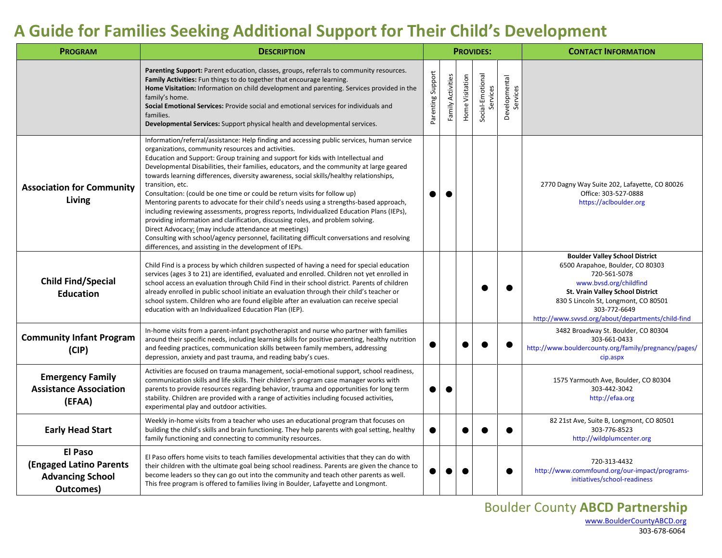## **A Guide for Families Seeking Additional Support for Their Child's Development**

| <b>PROGRAM</b>                                                                           | <b>DESCRIPTION</b>                                                                                                                                                                                                                                                                                                                                                                                                                                                                                                                                                                                                                                                                                                                                                                                                                                                                                                                                                                                                        | <b>PROVIDES:</b>  |                   |                 |                              |                           | <b>CONTACT INFORMATION</b>                                                                                                                                                                                                                                           |
|------------------------------------------------------------------------------------------|---------------------------------------------------------------------------------------------------------------------------------------------------------------------------------------------------------------------------------------------------------------------------------------------------------------------------------------------------------------------------------------------------------------------------------------------------------------------------------------------------------------------------------------------------------------------------------------------------------------------------------------------------------------------------------------------------------------------------------------------------------------------------------------------------------------------------------------------------------------------------------------------------------------------------------------------------------------------------------------------------------------------------|-------------------|-------------------|-----------------|------------------------------|---------------------------|----------------------------------------------------------------------------------------------------------------------------------------------------------------------------------------------------------------------------------------------------------------------|
|                                                                                          | Parenting Support: Parent education, classes, groups, referrals to community resources.<br>Family Activities: Fun things to do together that encourage learning.<br>Home Visitation: Information on child development and parenting. Services provided in the<br>family's home.<br>Social Emotional Services: Provide social and emotional services for individuals and<br>families.<br>Developmental Services: Support physical health and developmental services.                                                                                                                                                                                                                                                                                                                                                                                                                                                                                                                                                       | Parenting Support | Family Activities | Home Visitation | Social-Emotional<br>Services | Developmental<br>Services |                                                                                                                                                                                                                                                                      |
| <b>Association for Community</b><br>Living                                               | Information/referral/assistance: Help finding and accessing public services, human service<br>organizations, community resources and activities.<br>Education and Support: Group training and support for kids with Intellectual and<br>Developmental Disabilities, their families, educators, and the community at large geared<br>towards learning differences, diversity awareness, social skills/healthy relationships,<br>transition, etc.<br>Consultation: (could be one time or could be return visits for follow up)<br>Mentoring parents to advocate for their child's needs using a strengths-based approach,<br>including reviewing assessments, progress reports, Individualized Education Plans (IEPs),<br>providing information and clarification, discussing roles, and problem solving.<br>Direct Advocacy: (may include attendance at meetings)<br>Consulting with school/agency personnel, facilitating difficult conversations and resolving<br>differences, and assisting in the development of IEPs. |                   |                   |                 |                              |                           | 2770 Dagny Way Suite 202, Lafayette, CO 80026<br>Office: 303-527-0888<br>https://aclboulder.org                                                                                                                                                                      |
| <b>Child Find/Special</b><br><b>Education</b>                                            | Child Find is a process by which children suspected of having a need for special education<br>services (ages 3 to 21) are identified, evaluated and enrolled. Children not yet enrolled in<br>school access an evaluation through Child Find in their school district. Parents of children<br>already enrolled in public school initiate an evaluation through their child's teacher or<br>school system. Children who are found eligible after an evaluation can receive special<br>education with an Individualized Education Plan (IEP).                                                                                                                                                                                                                                                                                                                                                                                                                                                                               |                   |                   |                 |                              |                           | <b>Boulder Valley School District</b><br>6500 Arapahoe, Boulder, CO 80303<br>720-561-5078<br>www.bvsd.org/childfind<br>St. Vrain Valley School District<br>830 S Lincoln St, Longmont, CO 80501<br>303-772-6649<br>http://www.svvsd.org/about/departments/child-find |
| <b>Community Infant Program</b><br>(CIP)                                                 | In-home visits from a parent-infant psychotherapist and nurse who partner with families<br>around their specific needs, including learning skills for positive parenting, healthy nutrition<br>and feeding practices, communication skills between family members, addressing<br>depression, anxiety and past trauma, and reading baby's cues.                                                                                                                                                                                                                                                                                                                                                                                                                                                                                                                                                                                                                                                                            |                   |                   |                 |                              |                           | 3482 Broadway St. Boulder, CO 80304<br>303-661-0433<br>http://www.bouldercounty.org/family/pregnancy/pages/<br>cip.aspx                                                                                                                                              |
| <b>Emergency Family</b><br><b>Assistance Association</b><br>(EFAA)                       | Activities are focused on trauma management, social-emotional support, school readiness,<br>communication skills and life skills. Their children's program case manager works with<br>parents to provide resources regarding behavior, trauma and opportunities for long term<br>stability. Children are provided with a range of activities including focused activities,<br>experimental play and outdoor activities.                                                                                                                                                                                                                                                                                                                                                                                                                                                                                                                                                                                                   | ●                 | ●                 |                 |                              |                           | 1575 Yarmouth Ave, Boulder, CO 80304<br>303-442-3042<br>http://efaa.org                                                                                                                                                                                              |
| <b>Early Head Start</b>                                                                  | Weekly in-home visits from a teacher who uses an educational program that focuses on<br>building the child's skills and brain functioning. They help parents with goal setting, healthy<br>family functioning and connecting to community resources.                                                                                                                                                                                                                                                                                                                                                                                                                                                                                                                                                                                                                                                                                                                                                                      |                   |                   |                 |                              |                           | 82 21st Ave, Suite B, Longmont, CO 80501<br>303-776-8523<br>http://wildplumcenter.org                                                                                                                                                                                |
| <b>El Paso</b><br><b>(Engaged Latino Parents</b><br><b>Advancing School</b><br>Outcomes) | El Paso offers home visits to teach families developmental activities that they can do with<br>their children with the ultimate goal being school readiness. Parents are given the chance to<br>become leaders so they can go out into the community and teach other parents as well.<br>This free program is offered to families living in Boulder, Lafayette and Longmont.                                                                                                                                                                                                                                                                                                                                                                                                                                                                                                                                                                                                                                              |                   |                   |                 |                              |                           | 720-313-4432<br>http://www.commfound.org/our-impact/programs-<br>initiatives/school-readiness                                                                                                                                                                        |

303-678-6064